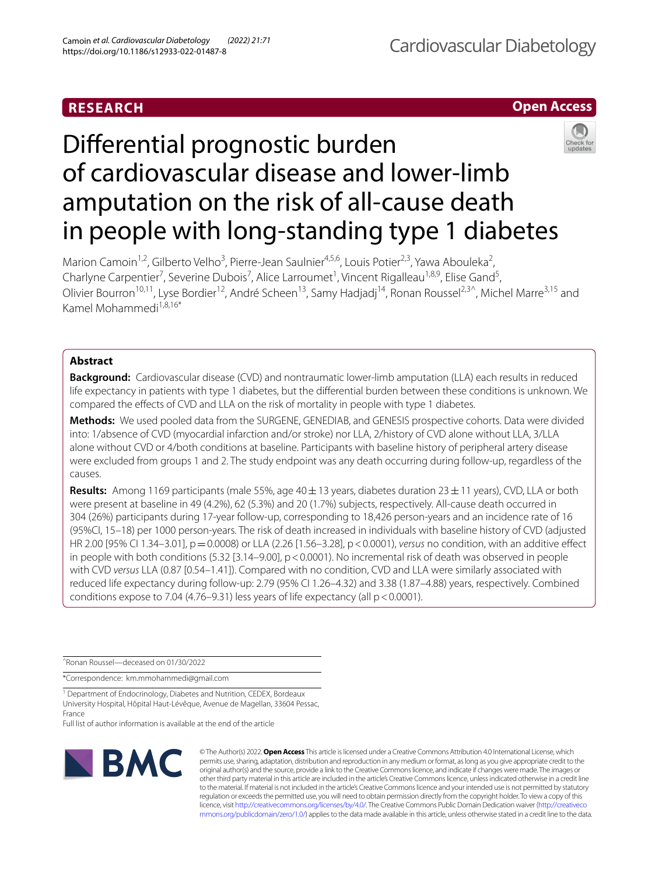## **RESEARCH**



# Diferential prognostic burden of cardiovascular disease and lower-limb amputation on the risk of all-cause death in people with long-standing type 1 diabetes

Marion Camoin<sup>1,2</sup>, Gilberto Velho<sup>3</sup>, Pierre-Jean Saulnier<sup>4,5,6</sup>, Louis Potier<sup>2,3</sup>, Yawa Abouleka<sup>2</sup>, Charlyne Carpentier<sup>7</sup>, Severine Dubois<sup>7</sup>, Alice Larroumet<sup>1</sup>, Vincent Rigalleau<sup>1,8,9</sup>, Elise Gand<sup>5</sup>, Olivier Bourron<sup>10,11</sup>, Lyse Bordier<sup>12</sup>, André Scheen<sup>13</sup>, Samy Hadjadj<sup>14</sup>, Ronan Roussel<sup>2,3^</sup>, Michel Marre<sup>3,15</sup> and Kamel Mohammedi<sup>1,8,16\*</sup>

## **Abstract**

**Background:** Cardiovascular disease (CVD) and nontraumatic lower-limb amputation (LLA) each results in reduced life expectancy in patients with type 1 diabetes, but the diferential burden between these conditions is unknown. We compared the efects of CVD and LLA on the risk of mortality in people with type 1 diabetes.

**Methods:** We used pooled data from the SURGENE, GENEDIAB, and GENESIS prospective cohorts. Data were divided into: 1/absence of CVD (myocardial infarction and/or stroke) nor LLA, 2/history of CVD alone without LLA, 3/LLA alone without CVD or 4/both conditions at baseline. Participants with baseline history of peripheral artery disease were excluded from groups 1 and 2. The study endpoint was any death occurring during follow-up, regardless of the causes.

**Results:** Among 1169 participants (male 55%, age  $40 \pm 13$  years, diabetes duration 23  $\pm$  11 years), CVD, LLA or both were present at baseline in 49 (4.2%), 62 (5.3%) and 20 (1.7%) subjects, respectively. All-cause death occurred in 304 (26%) participants during 17-year follow-up, corresponding to 18,426 person-years and an incidence rate of 16 (95%CI, 15–18) per 1000 person-years. The risk of death increased in individuals with baseline history of CVD (adjusted HR 2.00 [95% CI 1.34–3.01], p=0.0008) or LLA (2.26 [1.56–3.28], p<0.0001), *versus* no condition, with an additive efect in people with both conditions (5.32 [3.14–9.00], p < 0.0001). No incremental risk of death was observed in people with CVD *versus* LLA (0.87 [0.54–1.41]). Compared with no condition, CVD and LLA were similarly associated with reduced life expectancy during follow-up: 2.79 (95% CI 1.26–4.32) and 3.38 (1.87–4.88) years, respectively. Combined conditions expose to 7.04 (4.76–9.31) less years of life expectancy (all  $p < 0.0001$ ).

^Ronan Roussel—deceased on 01/30/2022

\*Correspondence: km.mmohammedi@gmail.com

<sup>1</sup> Department of Endocrinology, Diabetes and Nutrition, CEDEX, Bordeaux University Hospital, Hôpital Haut-Lévêque, Avenue de Magellan, 33604 Pessac, France

Full list of author information is available at the end of the article



© The Author(s) 2022. **Open Access** This article is licensed under a Creative Commons Attribution 4.0 International License, which permits use, sharing, adaptation, distribution and reproduction in any medium or format, as long as you give appropriate credit to the original author(s) and the source, provide a link to the Creative Commons licence, and indicate if changes were made. The images or other third party material in this article are included in the article's Creative Commons licence, unless indicated otherwise in a credit line to the material. If material is not included in the article's Creative Commons licence and your intended use is not permitted by statutory regulation or exceeds the permitted use, you will need to obtain permission directly from the copyright holder. To view a copy of this licence, visit [http://creativecommons.org/licenses/by/4.0/.](http://creativecommons.org/licenses/by/4.0/) The Creative Commons Public Domain Dedication waiver ([http://creativeco](http://creativecommons.org/publicdomain/zero/1.0/) [mmons.org/publicdomain/zero/1.0/](http://creativecommons.org/publicdomain/zero/1.0/)) applies to the data made available in this article, unless otherwise stated in a credit line to the data.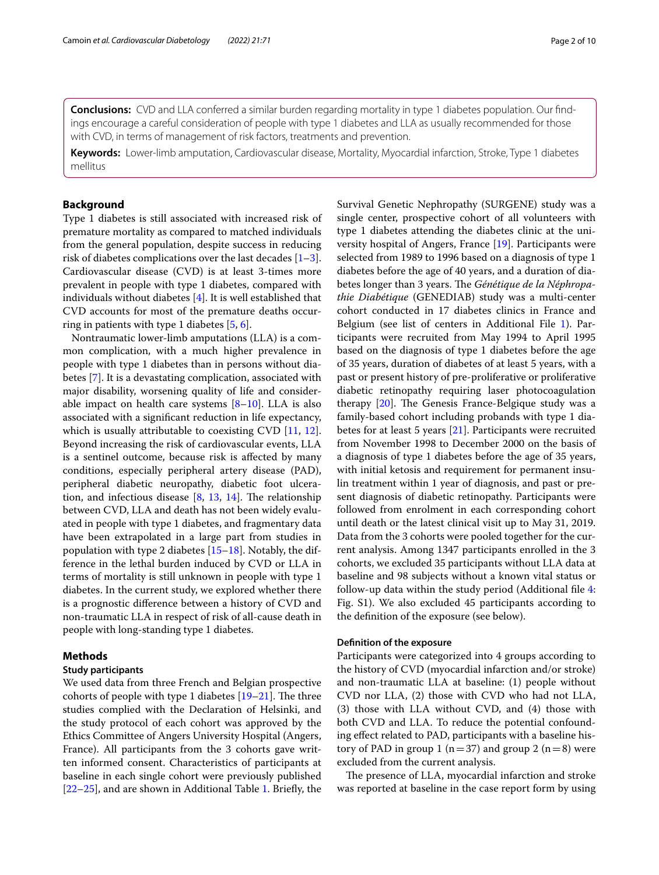**Conclusions:** CVD and LLA conferred a similar burden regarding mortality in type 1 diabetes population. Our fnd‑ ings encourage a careful consideration of people with type 1 diabetes and LLA as usually recommended for those with CVD, in terms of management of risk factors, treatments and prevention.

**Keywords:** Lower-limb amputation, Cardiovascular disease, Mortality, Myocardial infarction, Stroke, Type 1 diabetes mellitus

## **Background**

Type 1 diabetes is still associated with increased risk of premature mortality as compared to matched individuals from the general population, despite success in reducing risk of diabetes complications over the last decades  $[1-3]$  $[1-3]$ . Cardiovascular disease (CVD) is at least 3-times more prevalent in people with type 1 diabetes, compared with individuals without diabetes [\[4](#page-8-2)]. It is well established that CVD accounts for most of the premature deaths occurring in patients with type 1 diabetes [[5,](#page-8-3) [6](#page-8-4)].

Nontraumatic lower-limb amputations (LLA) is a common complication, with a much higher prevalence in people with type 1 diabetes than in persons without diabetes [[7](#page-8-5)]. It is a devastating complication, associated with major disability, worsening quality of life and considerable impact on health care systems [\[8](#page-8-6)[–10](#page-8-7)]. LLA is also associated with a signifcant reduction in life expectancy, which is usually attributable to coexisting CVD [\[11,](#page-8-8) [12](#page-8-9)]. Beyond increasing the risk of cardiovascular events, LLA is a sentinel outcome, because risk is afected by many conditions, especially peripheral artery disease (PAD), peripheral diabetic neuropathy, diabetic foot ulceration, and infectious disease  $[8, 13, 14]$  $[8, 13, 14]$  $[8, 13, 14]$  $[8, 13, 14]$  $[8, 13, 14]$  $[8, 13, 14]$ . The relationship between CVD, LLA and death has not been widely evaluated in people with type 1 diabetes, and fragmentary data have been extrapolated in a large part from studies in population with type 2 diabetes  $[15–18]$  $[15–18]$  $[15–18]$  $[15–18]$ . Notably, the difference in the lethal burden induced by CVD or LLA in terms of mortality is still unknown in people with type 1 diabetes. In the current study, we explored whether there is a prognostic diference between a history of CVD and non-traumatic LLA in respect of risk of all-cause death in people with long-standing type 1 diabetes.

## **Methods**

## **Study participants**

We used data from three French and Belgian prospective cohorts of people with type 1 diabetes  $[19-21]$  $[19-21]$ . The three studies complied with the Declaration of Helsinki, and the study protocol of each cohort was approved by the Ethics Committee of Angers University Hospital (Angers, France). All participants from the 3 cohorts gave written informed consent. Characteristics of participants at baseline in each single cohort were previously published [[22–](#page-8-16)[25](#page-8-17)], and are shown in Additional Table [1.](#page-2-0) Briefy, the Survival Genetic Nephropathy (SURGENE) study was a single center, prospective cohort of all volunteers with type 1 diabetes attending the diabetes clinic at the university hospital of Angers, France [[19\]](#page-8-14). Participants were selected from 1989 to 1996 based on a diagnosis of type 1 diabetes before the age of 40 years, and a duration of diabetes longer than 3 years. The *Génétique de la Néphropathie Diabétique* (GENEDIAB) study was a multi-center cohort conducted in 17 diabetes clinics in France and Belgium (see list of centers in Additional File [1\)](#page-7-0). Participants were recruited from May 1994 to April 1995 based on the diagnosis of type 1 diabetes before the age of 35 years, duration of diabetes of at least 5 years, with a past or present history of pre-proliferative or proliferative diabetic retinopathy requiring laser photocoagulation therapy  $[20]$  $[20]$ . The Genesis France-Belgique study was a family-based cohort including probands with type 1 diabetes for at least 5 years [\[21\]](#page-8-15). Participants were recruited from November 1998 to December 2000 on the basis of a diagnosis of type 1 diabetes before the age of 35 years, with initial ketosis and requirement for permanent insulin treatment within 1 year of diagnosis, and past or present diagnosis of diabetic retinopathy. Participants were followed from enrolment in each corresponding cohort until death or the latest clinical visit up to May 31, 2019. Data from the 3 cohorts were pooled together for the current analysis. Among 1347 participants enrolled in the 3 cohorts, we excluded 35 participants without LLA data at baseline and 98 subjects without a known vital status or follow-up data within the study period (Additional fle [4](#page-7-1): Fig. S1). We also excluded 45 participants according to the defnition of the exposure (see below).

## **Defnition of the exposure**

Participants were categorized into 4 groups according to the history of CVD (myocardial infarction and/or stroke) and non-traumatic LLA at baseline: (1) people without CVD nor LLA, (2) those with CVD who had not LLA, (3) those with LLA without CVD, and (4) those with both CVD and LLA. To reduce the potential confounding efect related to PAD, participants with a baseline history of PAD in group 1 ( $n=37$ ) and group 2 ( $n=8$ ) were excluded from the current analysis.

The presence of LLA, myocardial infarction and stroke was reported at baseline in the case report form by using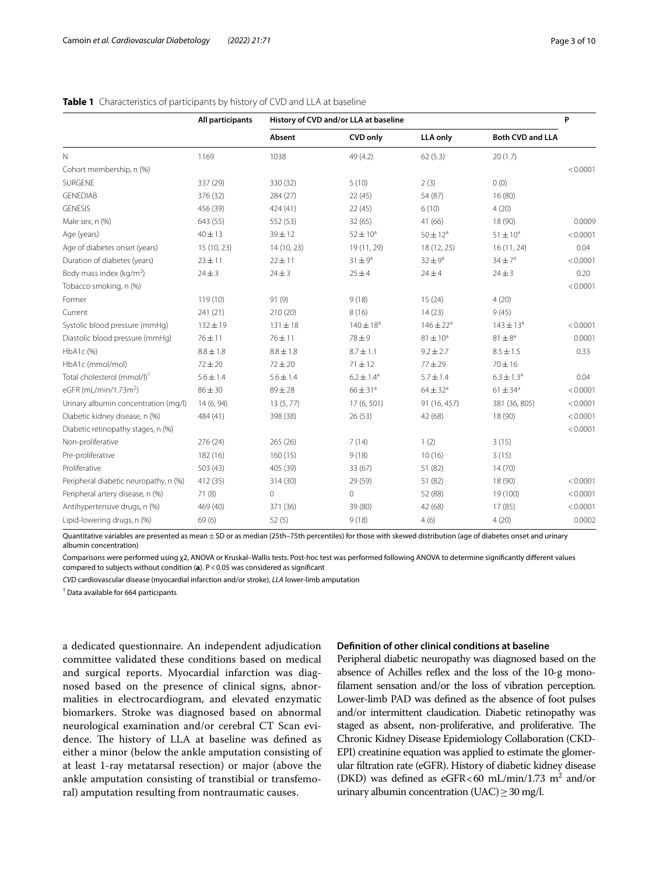|                                         | All participants | History of CVD and/or LLA at baseline |                 |                 |                         | P        |
|-----------------------------------------|------------------|---------------------------------------|-----------------|-----------------|-------------------------|----------|
|                                         |                  | Absent                                | <b>CVD only</b> | <b>LLA only</b> | <b>Both CVD and LLA</b> |          |
| $\mathbb N$                             | 1169             | 1038                                  | 49 (4.2)        | 62(5.3)         | 20(1.7)                 |          |
| Cohort membership, n (%)                |                  |                                       |                 |                 |                         | < 0.0001 |
| <b>SURGENE</b>                          | 337 (29)         | 330 (32)                              | 5(10)           | 2(3)            | 0(0)                    |          |
| <b>GENEDIAB</b>                         | 376 (32)         | 284 (27)                              | 22(45)          | 54 (87)         | 16(80)                  |          |
| <b>GENESIS</b>                          | 456 (39)         | 424 (41)                              | 22(45)          | 6(10)           | 4(20)                   |          |
| Male sex, n (%)                         | 643 (55)         | 552 (53)                              | 32(65)          | 41 (66)         | 18 (90)                 | 0.0009   |
| Age (years)                             | 40 ± 13          | $39 + 12$                             | $52 \pm 10^a$   | $50 \pm 12^a$   | $51 \pm 10^a$           | < 0.0001 |
| Age of diabetes onset (years)           | 15 (10, 23)      | 14 (10, 23)                           | 19 (11, 29)     | 18 (12, 25)     | 16 (11, 24)             | 0.04     |
| Duration of diabetes (years)            | $23 \pm 11$      | $22 \pm 11$                           | $31 \pm 9^a$    | $32 \pm 9^a$    | $34 \pm 7^a$            | < 0.0001 |
| Body mass index (kg/m <sup>2</sup> )    | $24 \pm 3$       | $24 \pm 3$                            | $25 + 4$        | $24 + 4$        | $24 \pm 3$              | 0.20     |
| Tobacco smoking, n (%)                  |                  |                                       |                 |                 |                         | < 0.0001 |
| Former                                  | 119(10)          | 91(9)                                 | 9(18)           | 15(24)          | 4(20)                   |          |
| Current                                 | 241 (21)         | 210 (20)                              | 8(16)           | 14(23)          | 9(45)                   |          |
| Systolic blood pressure (mmHq)          | $132 \pm 19$     | $131 \pm 18$                          | $140 \pm 18^3$  | $146 \pm 22^a$  | $143 \pm 13^{a}$        | < 0.0001 |
| Diastolic blood pressure (mmHg)         | 76±11            | 76±11                                 | $78 \pm 9$      | $81 \pm 10^a$   | $81 \pm 8^a$            | 0.0001   |
| HbA1c (%)                               | $8.8 \pm 1.8$    | $8.8 \pm 1.8$                         | $8.7 \pm 1.1$   | $9.2 \pm 2.7$   | $8.5 \pm 1.5$           | 0.33     |
| HbA1c (mmol/mol)                        | $72 + 20$        | $72 + 20$                             | $71 \pm 12$     | $77 + 29$       | $70 + 16$               |          |
| Total cholesterol (mmol/l) <sup>1</sup> | $5.6 \pm 1.4$    | $5.6 \pm 1.4$                         | $6.2 \pm 1.4^a$ | $5.7 \pm 1.4$   | $6.3 \pm 1.3^{\circ}$   | 0.04     |
| eGFR (mL/min/1.73m <sup>2</sup> )       | $86 + 30$        | $89 + 28$                             | $66 \pm 31^{a}$ | $64 \pm 32^a$   | $61 \pm 34^{\circ}$     | < 0.0001 |
| Urinary albumin concentration (mg/l)    | 14 (6, 94)       | 13(5, 77)                             | 17 (6, 501)     | 91 (16, 457)    | 381 (36, 805)           | < 0.0001 |
| Diabetic kidney disease, n (%)          | 484 (41)         | 398 (38)                              | 26(53)          | 42 (68)         | 18 (90)                 | < 0.0001 |
| Diabetic retinopathy stages, n (%)      |                  |                                       |                 |                 |                         | < 0.0001 |
| Non-proliferative                       | 276 (24)         | 265 (26)                              | 7(14)           | 1(2)            | 3(15)                   |          |
| Pre-proliferative                       | 182 (16)         | 160(15)                               | 9(18)           | 10(16)          | 3(15)                   |          |
| Proliferative                           | 503 (43)         | 405 (39)                              | 33 (67)         | 51 (82)         | 14(70)                  |          |
| Peripheral diabetic neuropathy, n (%)   | 412 (35)         | 314 (30)                              | 29 (59)         | 51 (82)         | 18 (90)                 | < 0.0001 |
| Peripheral artery disease, n (%)        | 71(8)            | $\mathbf{0}$                          | $\mathbf 0$     | 52 (88)         | 19 (100)                | < 0.0001 |
| Antihypertensive drugs, n (%)           | 469 (40)         | 371 (36)                              | 39 (80)         | 42 (68)         | 17(85)                  | < 0.0001 |
| Lipid-lowering drugs, n (%)             | 69 (6)           | 52(5)                                 | 9(18)           | 4(6)            | 4(20)                   | 0.0002   |

## <span id="page-2-0"></span>**Table 1** Characteristics of participants by history of CVD and LLA at baseline

Quantitative variables are presented as mean  $\pm$  SD or as median (25th–75th percentiles) for those with skewed distribution (age of diabetes onset and urinary albumin concentration)

Comparisons were performed using χ2, ANOVA or Kruskal–Wallis tests. Post-hoc test was performed following ANOVA to determine signifcantly diferent values compared to subjects without condition (**a**). P<0.05 was considered as signifcant

*CVD* cardiovascular disease (myocardial infarction and/or stroke), *LLA* lower-limb amputation

<sup>1</sup> Data available for 664 participants

a dedicated questionnaire. An independent adjudication committee validated these conditions based on medical and surgical reports. Myocardial infarction was diagnosed based on the presence of clinical signs, abnormalities in electrocardiogram, and elevated enzymatic biomarkers. Stroke was diagnosed based on abnormal neurological examination and/or cerebral CT Scan evidence. The history of LLA at baseline was defined as either a minor (below the ankle amputation consisting of at least 1-ray metatarsal resection) or major (above the ankle amputation consisting of transtibial or transfemoral) amputation resulting from nontraumatic causes.

## **Defnition of other clinical conditions at baseline**

Peripheral diabetic neuropathy was diagnosed based on the absence of Achilles refex and the loss of the 10-g monoflament sensation and/or the loss of vibration perception. Lower-limb PAD was defned as the absence of foot pulses and/or intermittent claudication. Diabetic retinopathy was staged as absent, non-proliferative, and proliferative. The Chronic Kidney Disease Epidemiology Collaboration (CKD-EPI) creatinine equation was applied to estimate the glomerular fltration rate (eGFR). History of diabetic kidney disease (DKD) was defined as  $eGFR < 60 \text{ mL/min}/1.73 \text{ m}^2$  and/or urinary albumin concentration (UAC)  $\geq$  30 mg/l.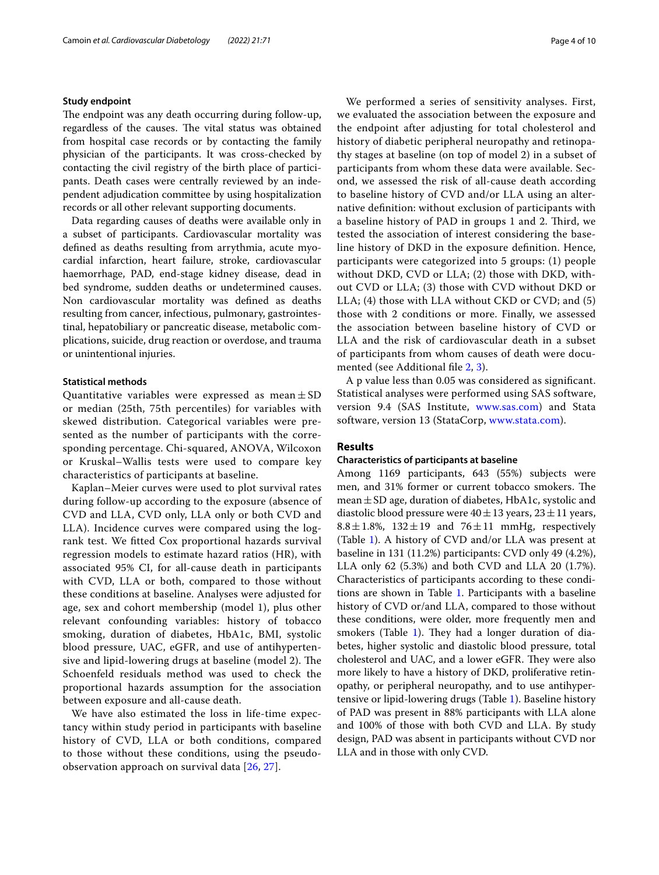## **Study endpoint**

The endpoint was any death occurring during follow-up, regardless of the causes. The vital status was obtained from hospital case records or by contacting the family physician of the participants. It was cross-checked by contacting the civil registry of the birth place of participants. Death cases were centrally reviewed by an independent adjudication committee by using hospitalization records or all other relevant supporting documents.

Data regarding causes of deaths were available only in a subset of participants. Cardiovascular mortality was defned as deaths resulting from arrythmia, acute myocardial infarction, heart failure, stroke, cardiovascular haemorrhage, PAD, end-stage kidney disease, dead in bed syndrome, sudden deaths or undetermined causes. Non cardiovascular mortality was defned as deaths resulting from cancer, infectious, pulmonary, gastrointestinal, hepatobiliary or pancreatic disease, metabolic complications, suicide, drug reaction or overdose, and trauma or unintentional injuries.

## **Statistical methods**

Quantitative variables were expressed as mean  $\pm$  SD or median (25th, 75th percentiles) for variables with skewed distribution. Categorical variables were presented as the number of participants with the corresponding percentage. Chi-squared, ANOVA, Wilcoxon or Kruskal–Wallis tests were used to compare key characteristics of participants at baseline.

Kaplan–Meier curves were used to plot survival rates during follow-up according to the exposure (absence of CVD and LLA, CVD only, LLA only or both CVD and LLA). Incidence curves were compared using the logrank test. We ftted Cox proportional hazards survival regression models to estimate hazard ratios (HR), with associated 95% CI, for all-cause death in participants with CVD, LLA or both, compared to those without these conditions at baseline. Analyses were adjusted for age, sex and cohort membership (model 1), plus other relevant confounding variables: history of tobacco smoking, duration of diabetes, HbA1c, BMI, systolic blood pressure, UAC, eGFR, and use of antihypertensive and lipid-lowering drugs at baseline (model 2). The Schoenfeld residuals method was used to check the proportional hazards assumption for the association between exposure and all-cause death.

We have also estimated the loss in life-time expectancy within study period in participants with baseline history of CVD, LLA or both conditions, compared to those without these conditions, using the pseudoobservation approach on survival data [\[26](#page-8-19), [27](#page-8-20)].

We performed a series of sensitivity analyses. First, we evaluated the association between the exposure and the endpoint after adjusting for total cholesterol and history of diabetic peripheral neuropathy and retinopathy stages at baseline (on top of model 2) in a subset of participants from whom these data were available. Second, we assessed the risk of all-cause death according to baseline history of CVD and/or LLA using an alternative defnition: without exclusion of participants with a baseline history of PAD in groups 1 and 2. Third, we tested the association of interest considering the baseline history of DKD in the exposure defnition. Hence, participants were categorized into 5 groups: (1) people without DKD, CVD or LLA; (2) those with DKD, without CVD or LLA; (3) those with CVD without DKD or LLA; (4) those with LLA without CKD or CVD; and (5) those with 2 conditions or more. Finally, we assessed the association between baseline history of CVD or LLA and the risk of cardiovascular death in a subset of participants from whom causes of death were documented (see Additional fle [2,](#page-7-2) [3\)](#page-7-3).

A p value less than 0.05 was considered as signifcant. Statistical analyses were performed using SAS software, version 9.4 (SAS Institute, [www.sas.com](http://www.sas.com)) and Stata software, version 13 (StataCorp, [www.stata.com](http://www.stata.com)).

## **Results**

## **Characteristics of participants at baseline**

Among 1169 participants, 643 (55%) subjects were men, and 31% former or current tobacco smokers. The mean $\pm$ SD age, duration of diabetes, HbA1c, systolic and diastolic blood pressure were  $40 \pm 13$  years,  $23 \pm 11$  years,  $8.8 \pm 1.8$ %,  $132 \pm 19$  and  $76 \pm 11$  mmHg, respectively (Table [1\)](#page-2-0). A history of CVD and/or LLA was present at baseline in 131 (11.2%) participants: CVD only 49 (4.2%), LLA only 62 (5.3%) and both CVD and LLA 20 (1.7%). Characteristics of participants according to these conditions are shown in Table [1](#page-2-0). Participants with a baseline history of CVD or/and LLA, compared to those without these conditions, were older, more frequently men and smokers (Table [1\)](#page-2-0). They had a longer duration of diabetes, higher systolic and diastolic blood pressure, total cholesterol and UAC, and a lower eGFR. They were also more likely to have a history of DKD, proliferative retinopathy, or peripheral neuropathy, and to use antihypertensive or lipid-lowering drugs (Table [1\)](#page-2-0). Baseline history of PAD was present in 88% participants with LLA alone and 100% of those with both CVD and LLA. By study design, PAD was absent in participants without CVD nor LLA and in those with only CVD.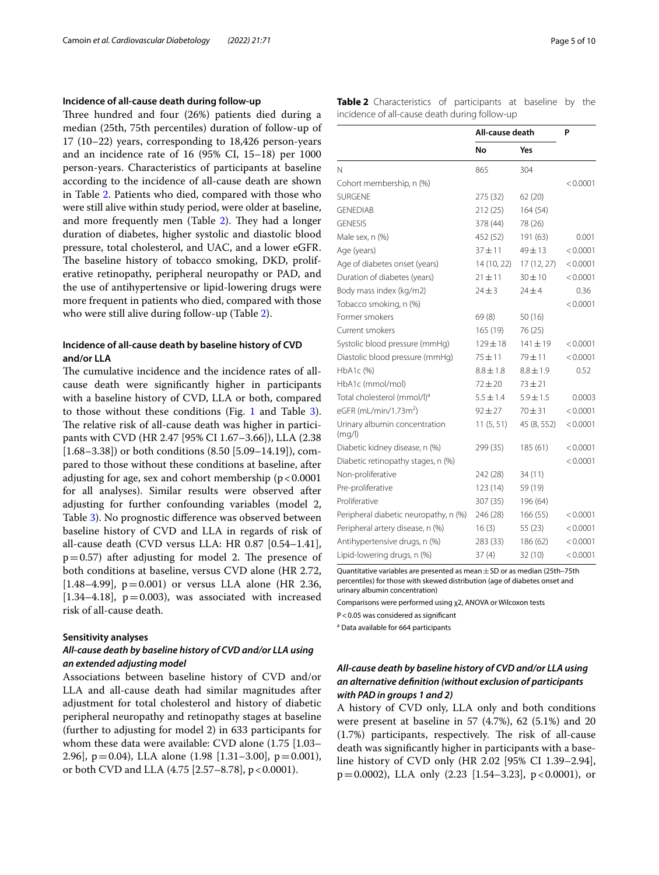## **Incidence of all‑cause death during follow‑up**

Three hundred and four (26%) patients died during a median (25th, 75th percentiles) duration of follow-up of 17 (10–22) years, corresponding to 18,426 person-years and an incidence rate of 16 (95% CI, 15–18) per 1000 person-years. Characteristics of participants at baseline according to the incidence of all-cause death are shown in Table [2.](#page-4-0) Patients who died, compared with those who were still alive within study period, were older at baseline, and more frequently men (Table  $2$ ). They had a longer duration of diabetes, higher systolic and diastolic blood pressure, total cholesterol, and UAC, and a lower eGFR. The baseline history of tobacco smoking, DKD, proliferative retinopathy, peripheral neuropathy or PAD, and the use of antihypertensive or lipid-lowering drugs were more frequent in patients who died, compared with those who were still alive during follow-up (Table [2\)](#page-4-0).

## **Incidence of all‑cause death by baseline history of CVD and/or LLA**

The cumulative incidence and the incidence rates of allcause death were signifcantly higher in participants with a baseline history of CVD, LLA or both, compared to those without these conditions (Fig. [1](#page-5-0) and Table [3](#page-5-1)). The relative risk of all-cause death was higher in participants with CVD (HR 2.47 [95% CI 1.67–3.66]), LLA (2.38 [1.68–3.38]) or both conditions (8.50 [5.09–14.19]), compared to those without these conditions at baseline, after adjusting for age, sex and cohort membership  $(p < 0.0001)$ for all analyses). Similar results were observed after adjusting for further confounding variables (model 2, Table [3](#page-5-1)). No prognostic diference was observed between baseline history of CVD and LLA in regards of risk of all-cause death (CVD versus LLA: HR 0.87 [0.54–1.41],  $p=0.57$ ) after adjusting for model 2. The presence of both conditions at baseline, versus CVD alone (HR 2.72, [1.48–4.99],  $p = 0.001$ ) or versus LLA alone (HR 2.36, [ $1.34-4.18$ ],  $p=0.003$ ), was associated with increased risk of all-cause death.

#### **Sensitivity analyses**

## *All‑cause death by baseline history of CVD and/or LLA using an extended adjusting model*

Associations between baseline history of CVD and/or LLA and all-cause death had similar magnitudes after adjustment for total cholesterol and history of diabetic peripheral neuropathy and retinopathy stages at baseline (further to adjusting for model 2) in 633 participants for whom these data were available: CVD alone (1.75 [1.03– 2.96],  $p = 0.04$ ), LLA alone (1.98 [1.31–3.00],  $p = 0.001$ ), or both CVD and LLA (4.75 [2.57–8.78], p < 0.0001).

<span id="page-4-0"></span>**Table 2** Characteristics of participants at baseline by the incidence of all-cause death during follow-up

|                                         | All-cause death |               | P        |  |
|-----------------------------------------|-----------------|---------------|----------|--|
|                                         | <b>No</b>       | Yes           |          |  |
| Ν                                       | 865             | 304           |          |  |
| Cohort membership, n (%)                |                 |               | < 0.0001 |  |
| <b>SURGENE</b>                          | 275 (32)        | 62 (20)       |          |  |
| <b>GENEDIAB</b>                         | 212(25)         | 164(54)       |          |  |
| <b>GENESIS</b>                          | 378 (44)        | 78 (26)       |          |  |
| Male sex, n (%)                         | 452 (52)        | 191 (63)      | 0.001    |  |
| Age (years)                             | $37 + 11$       | 49±13         | < 0.0001 |  |
| Age of diabetes onset (years)           | 14 (10, 22)     | 17 (12, 27)   | < 0.0001 |  |
| Duration of diabetes (years)            | $21 \pm 11$     | $30 + 10$     | < 0.0001 |  |
| Body mass index (kg/m2)                 | $24 \pm 3$      | $24 + 4$      | 0.36     |  |
| Tobacco smoking, n (%)                  |                 |               | < 0.0001 |  |
| Former smokers                          | 69(8)           | 50(16)        |          |  |
| Current smokers                         | 165 (19)        | 76 (25)       |          |  |
| Systolic blood pressure (mmHg)          | $129 \pm 18$    | $141 \pm 19$  | < 0.0001 |  |
| Diastolic blood pressure (mmHg)         | $75 + 11$       | 79±11         | < 0.0001 |  |
| HbA1c(%)                                | $8.8 \pm 1.8$   | $8.8 \pm 1.9$ | 0.52     |  |
| HbA1c (mmol/mol)                        | $72 \pm 20$     | $73 + 21$     |          |  |
| Total cholesterol (mmol/l) <sup>a</sup> | $5.5 \pm 1.4$   | $5.9 \pm 1.5$ | 0.0003   |  |
| eGFR (mL/min/1.73m <sup>2</sup> )       | $92 + 27$       | $70 + 31$     | < 0.0001 |  |
| Urinary albumin concentration<br>(mq/l) | 11(5, 51)       | 45 (8, 552)   | < 0.0001 |  |
| Diabetic kidney disease, n (%)          | 299 (35)        | 185 (61)      | < 0.0001 |  |
| Diabetic retinopathy stages, n (%)      |                 |               | < 0.0001 |  |
| Non-proliferative                       | 242 (28)        | 34(11)        |          |  |
| Pre-proliferative                       | 123(14)         | 59 (19)       |          |  |
| Proliferative                           | 307 (35)        | 196 (64)      |          |  |
| Peripheral diabetic neuropathy, n (%)   | 246 (28)        | 166 (55)      | < 0.0001 |  |
| Peripheral artery disease, n (%)        | 16(3)           | 55(23)        | < 0.0001 |  |
| Antihypertensive drugs, n (%)           | 283 (33)        | 186 (62)      | < 0.0001 |  |
| Lipid-lowering drugs, n (%)             | 37(4)           | 32 (10)       | < 0.0001 |  |

Quantitative variables are presented as mean  $\pm$  SD or as median (25th–75th percentiles) for those with skewed distribution (age of diabetes onset and urinary albumin concentration)

Comparisons were performed using χ2, ANOVA or Wilcoxon tests

P<0.05 was considered as signifcant

<sup>a</sup> Data available for 664 participants

## *All‑cause death by baseline history of CVD and/or LLA using an alternative defnition (without exclusion of participants with PAD in groups 1 and 2)*

A history of CVD only, LLA only and both conditions were present at baseline in 57 (4.7%), 62 (5.1%) and 20  $(1.7%)$  participants, respectively. The risk of all-cause death was signifcantly higher in participants with a baseline history of CVD only (HR 2.02 [95% CI 1.39–2.94],  $p=0.0002$ ), LLA only  $(2.23 \; [1.54-3.23], \; p<0.0001)$ , or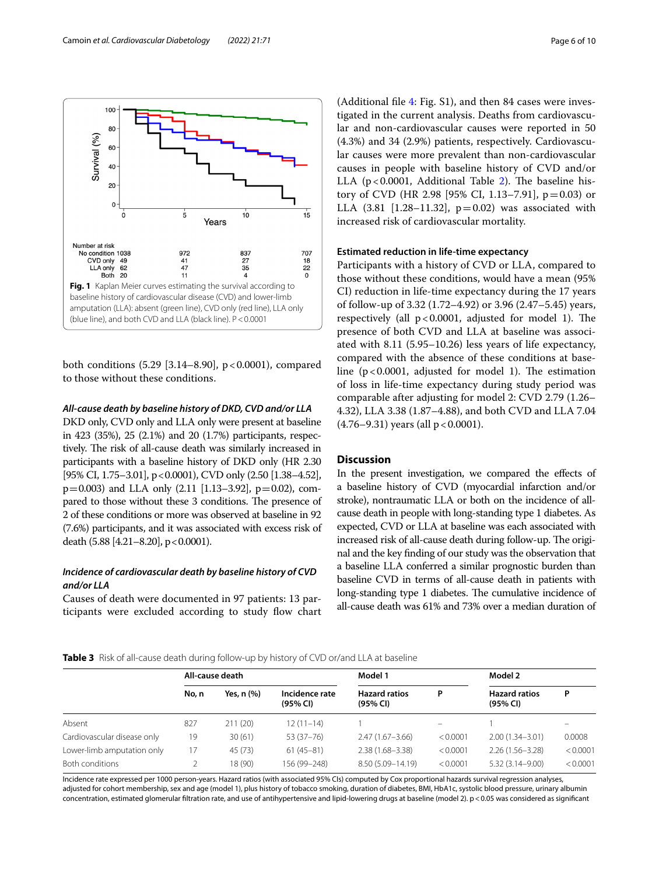

<span id="page-5-0"></span>both conditions  $(5.29 [3.14-8.90], p<0.0001)$ , compared to those without these conditions.

## *All‑cause death by baseline history of DKD, CVD and/or LLA*

DKD only, CVD only and LLA only were present at baseline in 423 (35%), 25 (2.1%) and 20 (1.7%) participants, respectively. The risk of all-cause death was similarly increased in participants with a baseline history of DKD only (HR 2.30 [95% CI, 1.75–3.01], p<0.0001), CVD only (2.50 [1.38–4.52],  $p=0.003$ ) and LLA only  $(2.11 [1.13-3.92], p=0.02)$ , compared to those without these 3 conditions. The presence of 2 of these conditions or more was observed at baseline in 92 (7.6%) participants, and it was associated with excess risk of death (5.88 [4.21-8.20], p < 0.0001).

## *Incidence of cardiovascular death by baseline history of CVD and/or LLA*

Causes of death were documented in 97 patients: 13 participants were excluded according to study flow chart

(Additional fle [4](#page-7-1): Fig. S1), and then 84 cases were investigated in the current analysis. Deaths from cardiovascular and non-cardiovascular causes were reported in 50 (4.3%) and 34 (2.9%) patients, respectively. Cardiovascular causes were more prevalent than non-cardiovascular causes in people with baseline history of CVD and/or LLA ( $p < 0.0001$ , Additional Table [2](#page-4-0)). The baseline history of CVD (HR 2.98 [95% CI, 1.13–7.91],  $p=0.03$ ) or LLA  $(3.81 [1.28-11.32], p=0.02)$  was associated with increased risk of cardiovascular mortality.

## **Estimated reduction in life‑time expectancy**

Participants with a history of CVD or LLA, compared to those without these conditions, would have a mean (95% CI) reduction in life-time expectancy during the 17 years of follow-up of 3.32 (1.72–4.92) or 3.96 (2.47–5.45) years, respectively (all  $p < 0.0001$ , adjusted for model 1). The presence of both CVD and LLA at baseline was associated with 8.11 (5.95–10.26) less years of life expectancy, compared with the absence of these conditions at baseline  $(p < 0.0001$ , adjusted for model 1). The estimation of loss in life-time expectancy during study period was comparable after adjusting for model 2: CVD 2.79 (1.26– 4.32), LLA 3.38 (1.87–4.88), and both CVD and LLA 7.04  $(4.76-9.31)$  years (all  $p < 0.0001$ ).

## **Discussion**

In the present investigation, we compared the efects of a baseline history of CVD (myocardial infarction and/or stroke), nontraumatic LLA or both on the incidence of allcause death in people with long-standing type 1 diabetes. As expected, CVD or LLA at baseline was each associated with increased risk of all-cause death during follow-up. The original and the key fnding of our study was the observation that a baseline LLA conferred a similar prognostic burden than baseline CVD in terms of all-cause death in patients with long-standing type 1 diabetes. The cumulative incidence of all-cause death was 61% and 73% over a median duration of

<span id="page-5-1"></span>**Table 3** Risk of all-cause death during follow-up by history of CVD or/and LLA at baseline

|                             | All-cause death |              |                            | Model 1                          |                          | Model 2                          |                   |
|-----------------------------|-----------------|--------------|----------------------------|----------------------------------|--------------------------|----------------------------------|-------------------|
|                             | No, n           | Yes, $n$ $%$ | Incidence rate<br>(95% CI) | <b>Hazard ratios</b><br>(95% CI) | P                        | <b>Hazard ratios</b><br>(95% CI) | P                 |
| Absent                      | 827             | 211(20)      | $12(11-14)$                |                                  | $\overline{\phantom{0}}$ |                                  | $\qquad \qquad =$ |
| Cardiovascular disease only | 19              | 30(61)       | $53(37-76)$                | $2.47(1.67 - 3.66)$              | < 0.0001                 | $2.00(1.34 - 3.01)$              | 0.0008            |
| Lower-limb amputation only  | 17              | 45 (73)      | $61(45-81)$                | $2.38(1.68 - 3.38)$              | < 0.0001                 | $2.26(1.56 - 3.28)$              | < 0.0001          |
| <b>Both conditions</b>      |                 | 18 (90)      | 156 (99-248)               | 8.50 (5.09-14.19)                | < 0.0001                 | $5.32(3.14 - 9.00)$              | < 0.0001          |

Incidence rate expressed per 1000 person-years. Hazard ratios (with associated 95% CIs) computed by Cox proportional hazards survival regression analyses, adjusted for cohort membership, sex and age (model 1), plus history of tobacco smoking, duration of diabetes, BMI, HbA1c, systolic blood pressure, urinary albumin concentration, estimated glomerular filtration rate, and use of antihypertensive and lipid-lowering drugs at baseline (model 2). p < 0.05 was considered as significant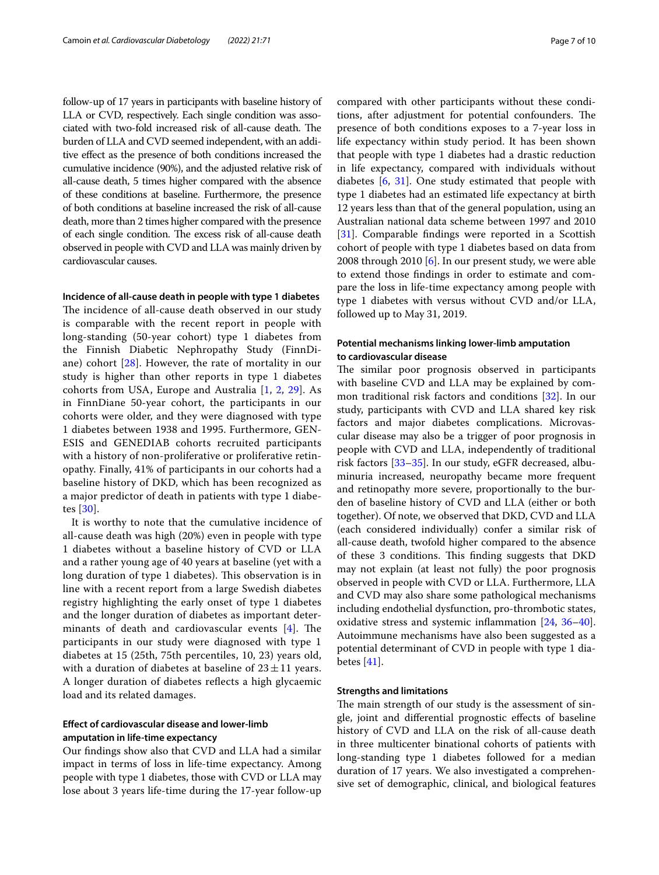follow-up of 17 years in participants with baseline history of LLA or CVD, respectively. Each single condition was associated with two-fold increased risk of all-cause death. The burden of LLA and CVD seemed independent, with an additive efect as the presence of both conditions increased the cumulative incidence (90%), and the adjusted relative risk of all-cause death, 5 times higher compared with the absence of these conditions at baseline. Furthermore, the presence of both conditions at baseline increased the risk of all-cause death, more than 2 times higher compared with the presence of each single condition. The excess risk of all-cause death observed in people with CVD and LLA was mainly driven by cardiovascular causes.

## **Incidence of all‑cause death in people with type 1 diabetes**

The incidence of all-cause death observed in our study is comparable with the recent report in people with long-standing (50-year cohort) type 1 diabetes from the Finnish Diabetic Nephropathy Study (FinnDiane) cohort [[28\]](#page-8-21). However, the rate of mortality in our study is higher than other reports in type 1 diabetes cohorts from USA, Europe and Australia [[1,](#page-8-0) [2,](#page-8-22) [29](#page-8-23)]. As in FinnDiane 50-year cohort, the participants in our cohorts were older, and they were diagnosed with type 1 diabetes between 1938 and 1995. Furthermore, GEN-ESIS and GENEDIAB cohorts recruited participants with a history of non-proliferative or proliferative retinopathy. Finally, 41% of participants in our cohorts had a baseline history of DKD, which has been recognized as a major predictor of death in patients with type 1 diabetes [\[30](#page-8-24)].

It is worthy to note that the cumulative incidence of all-cause death was high (20%) even in people with type 1 diabetes without a baseline history of CVD or LLA and a rather young age of 40 years at baseline (yet with a long duration of type 1 diabetes). This observation is in line with a recent report from a large Swedish diabetes registry highlighting the early onset of type 1 diabetes and the longer duration of diabetes as important determinants of death and cardiovascular events  $[4]$  $[4]$ . The participants in our study were diagnosed with type 1 diabetes at 15 (25th, 75th percentiles, 10, 23) years old, with a duration of diabetes at baseline of  $23 \pm 11$  years. A longer duration of diabetes refects a high glycaemic load and its related damages.

## **Efect of cardiovascular disease and lower‑limb amputation in life‑time expectancy**

Our fndings show also that CVD and LLA had a similar impact in terms of loss in life-time expectancy. Among people with type 1 diabetes, those with CVD or LLA may lose about 3 years life-time during the 17-year follow-up compared with other participants without these conditions, after adjustment for potential confounders. The presence of both conditions exposes to a 7-year loss in life expectancy within study period. It has been shown that people with type 1 diabetes had a drastic reduction in life expectancy, compared with individuals without diabetes [[6,](#page-8-4) [31\]](#page-8-25). One study estimated that people with type 1 diabetes had an estimated life expectancy at birth 12 years less than that of the general population, using an Australian national data scheme between 1997 and 2010 [[31\]](#page-8-25). Comparable fndings were reported in a Scottish cohort of people with type 1 diabetes based on data from 2008 through 2010 [\[6](#page-8-4)]. In our present study, we were able to extend those fndings in order to estimate and compare the loss in life-time expectancy among people with type 1 diabetes with versus without CVD and/or LLA, followed up to May 31, 2019.

## **Potential mechanisms linking lower‑limb amputation to cardiovascular disease**

The similar poor prognosis observed in participants with baseline CVD and LLA may be explained by common traditional risk factors and conditions [\[32\]](#page-8-26). In our study, participants with CVD and LLA shared key risk factors and major diabetes complications. Microvascular disease may also be a trigger of poor prognosis in people with CVD and LLA, independently of traditional risk factors [[33](#page-8-27)[–35](#page-8-28)]. In our study, eGFR decreased, albuminuria increased, neuropathy became more frequent and retinopathy more severe, proportionally to the burden of baseline history of CVD and LLA (either or both together). Of note, we observed that DKD, CVD and LLA (each considered individually) confer a similar risk of all-cause death, twofold higher compared to the absence of these 3 conditions. This finding suggests that DKD may not explain (at least not fully) the poor prognosis observed in people with CVD or LLA. Furthermore, LLA and CVD may also share some pathological mechanisms including endothelial dysfunction, pro-thrombotic states, oxidative stress and systemic infammation [[24,](#page-8-29) [36](#page-9-0)[–40](#page-9-1)]. Autoimmune mechanisms have also been suggested as a potential determinant of CVD in people with type 1 diabetes [[41](#page-9-2)].

#### **Strengths and limitations**

The main strength of our study is the assessment of single, joint and diferential prognostic efects of baseline history of CVD and LLA on the risk of all-cause death in three multicenter binational cohorts of patients with long-standing type 1 diabetes followed for a median duration of 17 years. We also investigated a comprehensive set of demographic, clinical, and biological features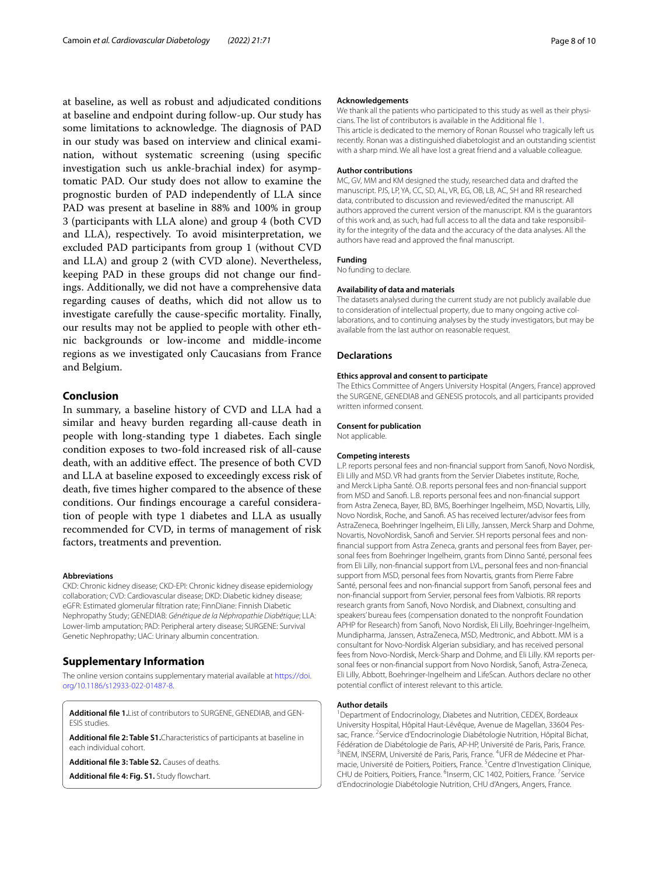at baseline, as well as robust and adjudicated conditions at baseline and endpoint during follow-up. Our study has some limitations to acknowledge. The diagnosis of PAD in our study was based on interview and clinical examination, without systematic screening (using specifc investigation such us ankle-brachial index) for asymptomatic PAD. Our study does not allow to examine the prognostic burden of PAD independently of LLA since PAD was present at baseline in 88% and 100% in group 3 (participants with LLA alone) and group 4 (both CVD and LLA), respectively. To avoid misinterpretation, we excluded PAD participants from group 1 (without CVD and LLA) and group 2 (with CVD alone). Nevertheless, keeping PAD in these groups did not change our fndings. Additionally, we did not have a comprehensive data regarding causes of deaths, which did not allow us to investigate carefully the cause-specifc mortality. Finally, our results may not be applied to people with other ethnic backgrounds or low-income and middle-income regions as we investigated only Caucasians from France and Belgium.

## **Conclusion**

In summary, a baseline history of CVD and LLA had a similar and heavy burden regarding all-cause death in people with long-standing type 1 diabetes. Each single condition exposes to two-fold increased risk of all-cause death, with an additive effect. The presence of both CVD and LLA at baseline exposed to exceedingly excess risk of death, fve times higher compared to the absence of these conditions. Our fndings encourage a careful consideration of people with type 1 diabetes and LLA as usually recommended for CVD, in terms of management of risk factors, treatments and prevention.

#### **Abbreviations**

CKD: Chronic kidney disease; CKD-EPI: Chronic kidney disease epidemiology collaboration; CVD: Cardiovascular disease; DKD: Diabetic kidney disease; eGFR: Estimated glomerular fltration rate; FinnDiane: Finnish Diabetic Nephropathy Study; GENEDIAB: *Génétique de la Néphropathie Diabétique*; LLA: Lower-limb amputation; PAD: Peripheral artery disease; SURGENE: Survival Genetic Nephropathy; UAC: Urinary albumin concentration.

## **Supplementary Information**

The online version contains supplementary material available at [https://doi.](https://doi.org/10.1186/s12933-022-01487-8) [org/10.1186/s12933-022-01487-8](https://doi.org/10.1186/s12933-022-01487-8).

<span id="page-7-2"></span><span id="page-7-0"></span>**Additional fle 1.**List of contributors to SURGENE, GENEDIAB, and GEN‑ ESIS studies.

<span id="page-7-3"></span>**Additional fle 2: Table S1.**Characteristics of participants at baseline in each individual cohort.

**Additional fle 3: Table S2.** Causes of deaths.

Additional file 4: Fig. S1. Study flowchart.

#### **Acknowledgements**

We thank all the patients who participated to this study as well as their physicians. The list of contributors is available in the Additional fle [1.](#page-7-0) This article is dedicated to the memory of Ronan Roussel who tragically left us recently. Ronan was a distinguished diabetologist and an outstanding scientist with a sharp mind. We all have lost a great friend and a valuable colleague.

#### **Author contributions**

MC, GV, MM and KM designed the study, researched data and drafted the manuscript. PJS, LP, YA, CC, SD, AL, VR, EG, OB, LB, AC, SH and RR researched data, contributed to discussion and reviewed/edited the manuscript. All authors approved the current version of the manuscript. KM is the guarantors of this work and, as such, had full access to all the data and take responsibility for the integrity of the data and the accuracy of the data analyses. All the authors have read and approved the fnal manuscript.

#### **Funding**

No funding to declare.

#### **Availability of data and materials**

The datasets analysed during the current study are not publicly available due to consideration of intellectual property, due to many ongoing active collaborations, and to continuing analyses by the study investigators, but may be available from the last author on reasonable request.

#### **Declarations**

#### **Ethics approval and consent to participate**

The Ethics Committee of Angers University Hospital (Angers, France) approved the SURGENE, GENEDIAB and GENESIS protocols, and all participants provided written informed consent.

#### **Consent for publication**

Not applicable.

#### **Competing interests**

L.P. reports personal fees and non-fnancial support from Sanof, Novo Nordisk, Eli Lilly and MSD. VR had grants from the Servier Diabetes institute, Roche, and Merck Lipha Santé. O.B. reports personal fees and non-fnancial support from MSD and Sanof. L.B. reports personal fees and non-fnancial support from Astra Zeneca, Bayer, BD, BMS, Boerhinger Ingelheim, MSD, Novartis, Lilly, Novo Nordisk, Roche, and Sanof. AS has received lecturer/advisor fees from AstraZeneca, Boehringer Ingelheim, Eli Lilly, Janssen, Merck Sharp and Dohme, Novartis, NovoNordisk, Sanof and Servier. SH reports personal fees and nonfnancial support from Astra Zeneca, grants and personal fees from Bayer, per‑ sonal fees from Boehringer Ingelheim, grants from Dinno Santé, personal fees from Eli Lilly, non-fnancial support from LVL, personal fees and non-fnancial support from MSD, personal fees from Novartis, grants from Pierre Fabre Santé, personal fees and non-fnancial support from Sanof, personal fees and non-fnancial support from Servier, personal fees from Valbiotis. RR reports research grants from Sanof, Novo Nordisk, and Diabnext, consulting and speakers' bureau fees (compensation donated to the nonproft Foundation APHP for Research) from Sanof, Novo Nordisk, Eli Lilly, Boehringer-Ingelheim, Mundipharma, Janssen, AstraZeneca, MSD, Medtronic, and Abbott. MM is a consultant for Novo-Nordisk Algerian subsidiary, and has received personal fees from Novo-Nordisk, Merck-Sharp and Dohme, and Eli Lilly. KM reports personal fees or non-fnancial support from Novo Nordisk, Sanof, Astra-Zeneca, Eli Lilly, Abbott, Boehringer-Ingelheim and LifeScan. Authors declare no other potential confict of interest relevant to this article.

#### **Author details**

<span id="page-7-1"></span><sup>1</sup> Department of Endocrinology, Diabetes and Nutrition, CEDEX, Bordeaux University Hospital, Hôpital Haut-Lévêque, Avenue de Magellan, 33604 Pes‑ sac, France.<sup>2</sup> Service d'Endocrinologie Diabétologie Nutrition, Hôpital Bichat, Fédération de Diabétologie de Paris, AP‑HP, Université de Paris, Paris, France. <sup>3</sup>INEM, INSERM, Université de Paris, Paris, France. <sup>4</sup>UFR de Médecine et Pharmacie, Université de Poitiers, Poitiers, France.<sup>5</sup> Centre d'Investigation Clinique, CHU de Poitiers, Poitiers, France. <sup>6</sup>Inserm, CIC 1402, Poitiers, France. <sup>7</sup>Service d'Endocrinologie Diabétologie Nutrition, CHU d'Angers, Angers, France.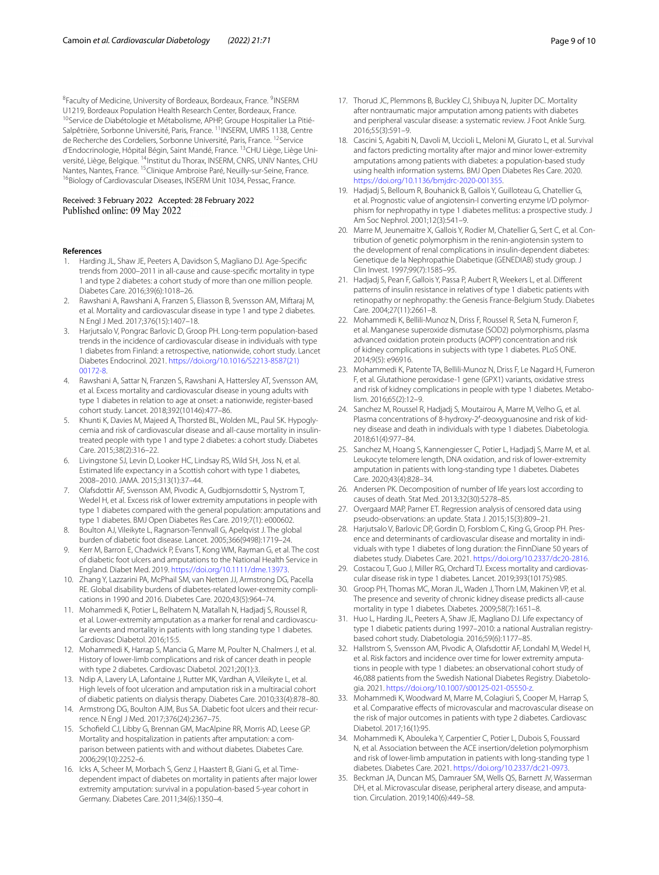<sup>8</sup> Faculty of Medicine, University of Bordeaux, Bordeaux, France. <sup>9</sup>INSERM U1219, Bordeaux Population Health Research Center, Bordeaux, France. <sup>10</sup>Service de Diabétologie et Métabolisme, APHP, Groupe Hospitalier La Pitié-Salpêtrière, Sorbonne Université, Paris, France. 11INSERM, UMRS 1138, Centre de Recherche des Cordeliers, Sorbonne Université, Paris, France. 12Service d'Endocrinologie, Hôpital Bégin, Saint Mandé, France. <sup>13</sup>CHU Liège, Liège Université, Liège, Belgique. 14Institut du Thorax, INSERM, CNRS, UNIV Nantes, CHU Nantes, Nantes, France. <sup>15</sup>Clinique Ambroise Paré, Neuilly-sur-Seine, France.<br><sup>16</sup>Biology of Cardiovascular Diseases, INSERM Unit 1034, Pessac, France.

# Received: 3 February 2022 Accepted: 28 February 2022

#### **References**

- <span id="page-8-0"></span>1. Harding JL, Shaw JE, Peeters A, Davidson S, Magliano DJ. Age-Specifc trends from 2000–2011 in all-cause and cause-specifc mortality in type 1 and type 2 diabetes: a cohort study of more than one million people. Diabetes Care. 2016;39(6):1018–26.
- <span id="page-8-22"></span>2. Rawshani A, Rawshani A, Franzen S, Eliasson B, Svensson AM, Miftaraj M, et al. Mortality and cardiovascular disease in type 1 and type 2 diabetes. N Engl J Med. 2017;376(15):1407–18.
- <span id="page-8-1"></span>3. Harjutsalo V, Pongrac Barlovic D, Groop PH. Long-term population-based trends in the incidence of cardiovascular disease in individuals with type 1 diabetes from Finland: a retrospective, nationwide, cohort study. Lancet Diabetes Endocrinol. 2021. [https://doi.org/10.1016/S2213-8587\(21\)](https://doi.org/10.1016/S2213-8587(21)00172-8) [00172-8.](https://doi.org/10.1016/S2213-8587(21)00172-8)
- <span id="page-8-2"></span>4. Rawshani A, Sattar N, Franzen S, Rawshani A, Hattersley AT, Svensson AM, et al. Excess mortality and cardiovascular disease in young adults with type 1 diabetes in relation to age at onset: a nationwide, register-based cohort study. Lancet. 2018;392(10146):477–86.
- <span id="page-8-3"></span>5. Khunti K, Davies M, Majeed A, Thorsted BL, Wolden ML, Paul SK. Hypoglycemia and risk of cardiovascular disease and all-cause mortality in insulintreated people with type 1 and type 2 diabetes: a cohort study. Diabetes Care. 2015;38(2):316–22.
- <span id="page-8-4"></span>6. Livingstone SJ, Levin D, Looker HC, Lindsay RS, Wild SH, Joss N, et al. Estimated life expectancy in a Scottish cohort with type 1 diabetes, 2008–2010. JAMA. 2015;313(1):37–44.
- <span id="page-8-5"></span>7. Olafsdottir AF, Svensson AM, Pivodic A, Gudbjornsdottir S, Nystrom T, Wedel H, et al. Excess risk of lower extremity amputations in people with type 1 diabetes compared with the general population: amputations and type 1 diabetes. BMJ Open Diabetes Res Care. 2019;7(1): e000602.
- <span id="page-8-6"></span>8. Boulton AJ, Vileikyte L, Ragnarson-Tennvall G, Apelqvist J. The global burden of diabetic foot disease. Lancet. 2005;366(9498):1719–24.
- 9. Kerr M, Barron E, Chadwick P, Evans T, Kong WM, Rayman G, et al. The cost of diabetic foot ulcers and amputations to the National Health Service in England. Diabet Med. 2019. <https://doi.org/10.1111/dme.13973>.
- <span id="page-8-7"></span>10. Zhang Y, Lazzarini PA, McPhail SM, van Netten JJ, Armstrong DG, Pacella RE. Global disability burdens of diabetes-related lower-extremity complications in 1990 and 2016. Diabetes Care. 2020;43(5):964–74.
- <span id="page-8-8"></span>11. Mohammedi K, Potier L, Belhatem N, Matallah N, Hadjadj S, Roussel R, et al. Lower-extremity amputation as a marker for renal and cardiovascular events and mortality in patients with long standing type 1 diabetes. Cardiovasc Diabetol. 2016;15:5.
- <span id="page-8-9"></span>12. Mohammedi K, Harrap S, Mancia G, Marre M, Poulter N, Chalmers J, et al. History of lower-limb complications and risk of cancer death in people with type 2 diabetes. Cardiovasc Diabetol. 2021;20(1):3.
- <span id="page-8-10"></span>13. Ndip A, Lavery LA, Lafontaine J, Rutter MK, Vardhan A, Vileikyte L, et al. High levels of foot ulceration and amputation risk in a multiracial cohort of diabetic patients on dialysis therapy. Diabetes Care. 2010;33(4):878–80.
- <span id="page-8-11"></span>14. Armstrong DG, Boulton AJM, Bus SA. Diabetic foot ulcers and their recurrence. N Engl J Med. 2017;376(24):2367–75.
- <span id="page-8-12"></span>15. Schofeld CJ, Libby G, Brennan GM, MacAlpine RR, Morris AD, Leese GP. Mortality and hospitalization in patients after amputation: a comparison between patients with and without diabetes. Diabetes Care. 2006;29(10):2252–6.
- 16. Icks A, Scheer M, Morbach S, Genz J, Haastert B, Giani G, et al. Timedependent impact of diabetes on mortality in patients after major lower extremity amputation: survival in a population-based 5-year cohort in Germany. Diabetes Care. 2011;34(6):1350–4.
- 17. Thorud JC, Plemmons B, Buckley CJ, Shibuya N, Jupiter DC. Mortality after nontraumatic major amputation among patients with diabetes and peripheral vascular disease: a systematic review. J Foot Ankle Surg. 2016;55(3):591–9.
- <span id="page-8-13"></span>18. Cascini S, Agabiti N, Davoli M, Uccioli L, Meloni M, Giurato L, et al. Survival and factors predicting mortality after major and minor lower-extremity amputations among patients with diabetes: a population-based study using health information systems. BMJ Open Diabetes Res Care. 2020. <https://doi.org/10.1136/bmjdrc-2020-001355>.
- <span id="page-8-14"></span>19. Hadjadj S, Belloum R, Bouhanick B, Gallois Y, Guilloteau G, Chatellier G, et al. Prognostic value of angiotensin-I converting enzyme I/D polymorphism for nephropathy in type 1 diabetes mellitus: a prospective study. J Am Soc Nephrol. 2001;12(3):541–9.
- <span id="page-8-18"></span>20. Marre M, Jeunemaitre X, Gallois Y, Rodier M, Chatellier G, Sert C, et al. Contribution of genetic polymorphism in the renin-angiotensin system to the development of renal complications in insulin-dependent diabetes: Genetique de la Nephropathie Diabetique (GENEDIAB) study group. J Clin Invest. 1997;99(7):1585–95.
- <span id="page-8-15"></span>21. Hadjadj S, Pean F, Gallois Y, Passa P, Aubert R, Weekers L, et al. Diferent patterns of insulin resistance in relatives of type 1 diabetic patients with retinopathy or nephropathy: the Genesis France-Belgium Study. Diabetes Care. 2004;27(11):2661–8.
- <span id="page-8-16"></span>22. Mohammedi K, Bellili-Munoz N, Driss F, Roussel R, Seta N, Fumeron F, et al. Manganese superoxide dismutase (SOD2) polymorphisms, plasma advanced oxidation protein products (AOPP) concentration and risk of kidney complications in subjects with type 1 diabetes. PLoS ONE. 2014;9(5): e96916.
- 23. Mohammedi K, Patente TA, Bellili-Munoz N, Driss F, Le Nagard H, Fumeron F, et al. Glutathione peroxidase-1 gene (GPX1) variants, oxidative stress and risk of kidney complications in people with type 1 diabetes. Metabolism. 2016;65(2):12–9.
- <span id="page-8-29"></span>24. Sanchez M, Roussel R, Hadjadj S, Moutairou A, Marre M, Velho G, et al. Plasma concentrations of 8-hydroxy-2'-deoxyguanosine and risk of kidney disease and death in individuals with type 1 diabetes. Diabetologia. 2018;61(4):977–84.
- <span id="page-8-17"></span>25. Sanchez M, Hoang S, Kannengiesser C, Potier L, Hadjadj S, Marre M, et al. Leukocyte telomere length, DNA oxidation, and risk of lower-extremity amputation in patients with long-standing type 1 diabetes. Diabetes Care. 2020;43(4):828–34.
- <span id="page-8-19"></span>26. Andersen PK. Decomposition of number of life years lost according to causes of death. Stat Med. 2013;32(30):5278–85.
- <span id="page-8-20"></span>27. Overgaard MAP, Parner ET. Regression analysis of censored data using pseudo-observations: an update. Stata J. 2015;15(3):809–21.
- <span id="page-8-21"></span>28. Harjutsalo V, Barlovic DP, Gordin D, Forsblom C, King G, Groop PH. Presence and determinants of cardiovascular disease and mortality in individuals with type 1 diabetes of long duration: the FinnDiane 50 years of diabetes study. Diabetes Care. 2021. <https://doi.org/10.2337/dc20-2816>.
- <span id="page-8-23"></span>29. Costacou T, Guo J, Miller RG, Orchard TJ. Excess mortality and cardiovascular disease risk in type 1 diabetes. Lancet. 2019;393(10175):985.
- <span id="page-8-24"></span>30. Groop PH, Thomas MC, Moran JL, Waden J, Thorn LM, Makinen VP, et al. The presence and severity of chronic kidney disease predicts all-cause mortality in type 1 diabetes. Diabetes. 2009;58(7):1651–8.
- <span id="page-8-25"></span>31. Huo L, Harding JL, Peeters A, Shaw JE, Magliano DJ. Life expectancy of type 1 diabetic patients during 1997–2010: a national Australian registrybased cohort study. Diabetologia. 2016;59(6):1177–85.
- <span id="page-8-26"></span>32. Hallstrom S, Svensson AM, Pivodic A, Olafsdottir AF, Londahl M, Wedel H, et al. Risk factors and incidence over time for lower extremity amputations in people with type 1 diabetes: an observational cohort study of 46,088 patients from the Swedish National Diabetes Registry. Diabetologia. 2021.<https://doi.org/10.1007/s00125-021-05550-z>.
- <span id="page-8-27"></span>33. Mohammedi K, Woodward M, Marre M, Colagiuri S, Cooper M, Harrap S, et al. Comparative effects of microvascular and macrovascular disease on the risk of major outcomes in patients with type 2 diabetes. Cardiovasc Diabetol. 2017;16(1):95.
- 34. Mohammedi K, Abouleka Y, Carpentier C, Potier L, Dubois S, Foussard N, et al. Association between the ACE insertion/deletion polymorphism and risk of lower-limb amputation in patients with long-standing type 1 diabetes. Diabetes Care. 2021. <https://doi.org/10.2337/dc21-0973>.
- <span id="page-8-28"></span>35. Beckman JA, Duncan MS, Damrauer SM, Wells QS, Barnett JV, Wasserman DH, et al. Microvascular disease, peripheral artery disease, and amputation. Circulation. 2019;140(6):449–58.